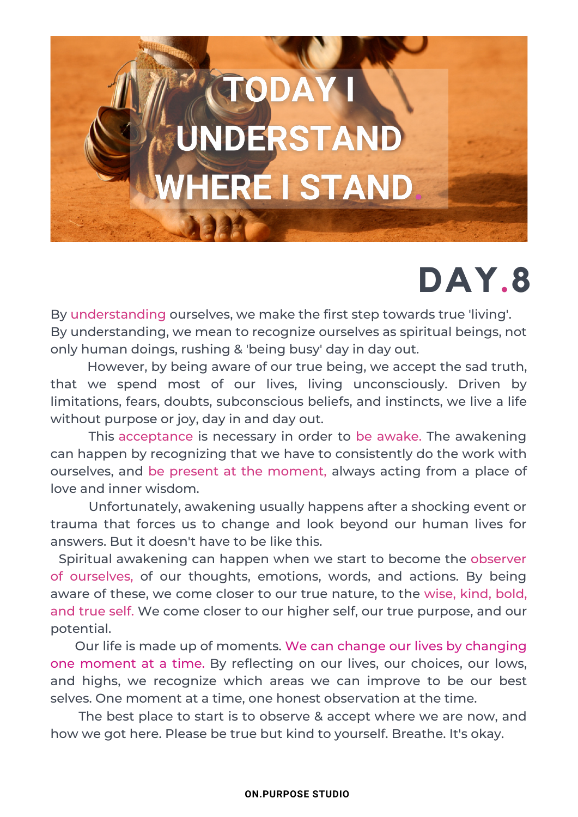## TODAYI UNDERSTAND **IERE I STAND**

## **DAY.8**

By understanding ourselves, we make the first step towards true 'living'. By understanding, we mean to recognize ourselves as spiritual beings, not only human doings, rushing & 'being busy' day in day out.

However, by being aware of our true being, we accept the sad truth, that we spend most of our lives, living unconsciously. Driven by limitations, fears, doubts, subconscious beliefs, and instincts, we live a life without purpose or joy, day in and day out.

This acceptance is necessary in order to be awake. The awakening can happen by recognizing that we have to consistently do the work with ourselves, and be present at the moment, always acting from a place of love and inner wisdom.

Unfortunately, awakening usually happens after a shocking event or trauma that forces us to change and look beyond our human lives for answers. But it doesn't have to be like this.

Spiritual awakening can happen when we start to become the observer of ourselves, of our thoughts, emotions, words, and actions. By being aware of these, we come closer to our true nature, to the wise, kind, bold, and true self. We come closer to our higher self, our true purpose, and our potential.

Our life is made up of moments. We can change our lives by changing one moment at a time. By reflecting on our lives, our choices, our lows, and highs, we recognize which areas we can improve to be our best selves. One moment at a time, one honest observation at the time.

The best place to start is to observe & accept where we are now, and how we got here. Please be true but kind to yourself. Breathe. It's okay.